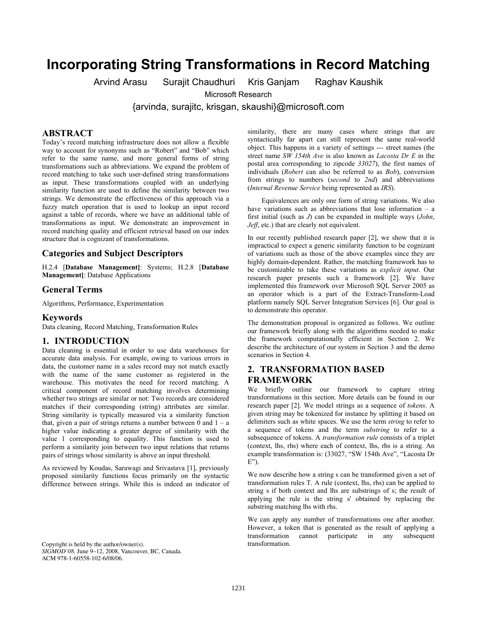# **Incorporating String Transformations in Record Matching**

Arvind Arasu Surajit Chaudhuri Kris Ganjam Raghav Kaushik

Microsoft Research

{arvinda, surajitc, krisgan, skaushi}@microsoft.com

#### **ABSTRACT**

Today's record matching infrastructure does not allow a flexible way to account for synonyms such as "Robert" and "Bob" which refer to the same name, and more general forms of string transformations such as abbreviations. We expand the problem of record matching to take such user-defined string transformations as input. These transformations coupled with an underlying similarity function are used to define the similarity between two strings. We demonstrate the effectiveness of this approach via a fuzzy match operation that is used to lookup an input record against a table of records, where we have an additional table of transformations as input. We demonstrate an improvement in record matching quality and efficient retrieval based on our index structure that is cognizant of transformations.

### **Categories and Subject Descriptors**

H.2.4 [**Database Management]**: Systems; H.2.8 [**Database Management]**: Database Applications

#### **General Terms**

Algorithms, Performance, Experimentation

#### **Keywords**

Data cleaning, Record Matching, Transformation Rules

#### **1. INTRODUCTION**

Data cleaning is essential in order to use data warehouses for accurate data analysis. For example, owing to various errors in data, the customer name in a sales record may not match exactly with the name of the same customer as registered in the warehouse. This motivates the need for record matching. A critical component of record matching involves determining whether two strings are similar or not: Two records are considered matches if their corresponding (string) attributes are similar. String similarity is typically measured via a similarity function that, given a pair of strings returns a number between 0 and  $1 - a$ higher value indicating a greater degree of similarity with the value 1 corresponding to equality. This function is used to perform a similarity join between two input relations that returns pairs of strings whose similarity is above an input threshold.

As reviewed by Koudas, Sarawagi and Srivastava [1], previously proposed similarity functions focus primarily on the syntactic difference between strings. While this is indeed an indicator of

Copyright is held by the author/owner(s). transformation. *SIGMOD'08,* June 9–12, 2008, Vancouver, BC, Canada. ACM 978-1-60558-102-6/08/06.

similarity, there are many cases where strings that are syntactically far apart can still represent the same real-world object. This happens in a variety of settings --- street names (the street name *SW 154th Ave* is also known as *Lacosta Dr E* in the postal area corresponding to zipcode *33027*), the first names of individuals (*Robert* can also be referred to as *Bob*), conversion from strings to numbers (*second* to *2nd*) and abbreviations (*Internal Revenue Service* being represented as *IRS*).

Equivalences are only one form of string variations. We also have variations such as abbreviations that lose information – a first initial (such as *J*) can be expanded in multiple ways (*John*, *Jeff*, etc.) that are clearly not equivalent.

In our recently published research paper [2], we show that it is impractical to expect a generic similarity function to be cognizant of variations such as those of the above examples since they are highly domain-dependent. Rather, the matching framework has to be customizable to take these variations as *explicit input*. Our research paper presents such a framework [2]. We have implemented this framework over Microsoft SQL Server 2005 as an operator which is a part of the Extract-Transform-Load platform namely SQL Server Integration Services [6]. Our goal is to demonstrate this operator.

The demonstration proposal is organized as follows. We outline our framework briefly along with the algorithms needed to make the framework computationally efficient in Section 2. We describe the architecture of our system in Section 3 and the demo scenarios in Section 4.

# **2. TRANSFORMATION BASED FRAMEWORK**

We briefly outline our framework to capture string transformations in this section. More details can be found in our research paper [2]. We model strings as a sequence of *tokens*. A given string may be tokenized for instance by splitting it based on delimiters such as white spaces. We use the term *string* to refer to a sequence of tokens and the term *substring* to refer to a subsequence of tokens. A *transformation rule* consists of a triplet (context, lhs, rhs) where each of context, lhs, rhs is a string. An example transformation is: (33027, "SW 154th Ave", "Lacosta Dr  $E$ ").

We now describe how a string s can be transformed given a set of transformation rules T. A rule (context, lhs, rhs) can be applied to string s if both context and lhs are substrings of s; the result of applying the rule is the string s' obtained by replacing the substring matching lhs with rhs.

We can apply any number of transformations one after another. However, a token that is generated as the result of applying a transformation cannot participate in any subsequent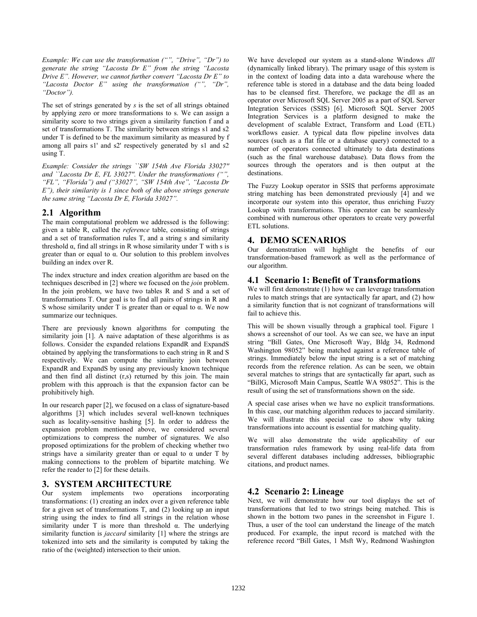*Example: We can use the transformation ("", "Drive", "Dr") to generate the string "Lacosta Dr E" from the string "Lacosta Drive E". However, we cannot further convert "Lacosta Dr E" to "Lacosta Doctor E" using the transformation ("", "Dr", "Doctor").* 

The set of strings generated by *s* is the set of all strings obtained by applying zero or more transformations to s. We can assign a similarity score to two strings given a similarity function f and a set of transformations T. The similarity between strings s1 and s2 under T is defined to be the maximum similarity as measured by f among all pairs s1' and s2' respectively generated by s1 and s2 using T.

*Example: Consider the strings ``SW 154th Ave Florida 33027'' and ``Lacosta Dr E, FL 33027''. Under the transformations ("", "FL", "Florida") and ("33027", "SW 154th Ave", "Lacosta Dr E"), their similarity is 1 since both of the above strings generate the same string "Lacosta Dr E, Florida 33027".* 

# **2.1 Algorithm**

The main computational problem we addressed is the following: given a table R, called the *reference* table, consisting of strings and a set of transformation rules T, and a string s and similarity threshold  $\alpha$ , find all strings in R whose similarity under T with s is greater than or equal to  $\alpha$ . Our solution to this problem involves building an index over R.

The index structure and index creation algorithm are based on the techniques described in [2] where we focused on the *join* problem. In the join problem, we have two tables R and S and a set of transformations T. Our goal is to find all pairs of strings in R and S whose similarity under T is greater than or equal to  $\alpha$ . We now summarize our techniques.

There are previously known algorithms for computing the similarity join [1]. A naive adaptation of these algorithms is as follows. Consider the expanded relations ExpandR and ExpandS obtained by applying the transformations to each string in R and S respectively. We can compute the similarity join between ExpandR and ExpandS by using any previously known technique and then find all distinct (r,s) returned by this join. The main problem with this approach is that the expansion factor can be prohibitively high.

In our research paper [2], we focused on a class of signature-based algorithms [3] which includes several well-known techniques such as locality-sensitive hashing [5]. In order to address the expansion problem mentioned above, we considered several optimizations to compress the number of signatures. We also proposed optimizations for the problem of checking whether two strings have a similarity greater than or equal to  $\alpha$  under T by making connections to the problem of bipartite matching. We refer the reader to [2] for these details.

# **3. SYSTEM ARCHITECTURE**

Our system implements two operations incorporating transformations: (1) creating an index over a given reference table for a given set of transformations T, and (2) looking up an input string using the index to find all strings in the relation whose similarity under T is more than threshold  $\alpha$ . The underlying similarity function is *jaccard* similarity [1] where the strings are tokenized into sets and the similarity is computed by taking the ratio of the (weighted) intersection to their union.

We have developed our system as a stand-alone Windows *dll* (dynamically linked library). The primary usage of this system is in the context of loading data into a data warehouse where the reference table is stored in a database and the data being loaded has to be cleansed first. Therefore, we package the dll as an operator over Microsoft SQL Server 2005 as a part of SQL Server Integration Services (SSIS) [6]. Microsoft SQL Server 2005 Integration Services is a platform designed to make the development of scalable Extract, Transform and Load (ETL) workflows easier. A typical data flow pipeline involves data sources (such as a flat file or a database query) connected to a number of operators connected ultimately to data destinations (such as the final warehouse database). Data flows from the sources through the operators and is then output at the destinations.

The Fuzzy Lookup operator in SSIS that performs approximate string matching has been demonstrated previously [4] and we incorporate our system into this operator, thus enriching Fuzzy Lookup with transformations. This operator can be seamlessly combined with numerous other operators to create very powerful ETL solutions.

# **4. DEMO SCENARIOS**

Our demonstration will highlight the benefits of our transformation-based framework as well as the performance of our algorithm.

# **4.1 Scenario 1: Benefit of Transformations**

We will first demonstrate (1) how we can leverage transformation rules to match strings that are syntactically far apart, and (2) how a similarity function that is not cognizant of transformations will fail to achieve this.

This will be shown visually through a graphical tool. Figure 1 shows a screenshot of our tool. As we can see, we have an input string "Bill Gates, One Microsoft Way, Bldg 34, Redmond Washington 98052" being matched against a reference table of strings. Immediately below the input string is a set of matching records from the reference relation. As can be seen, we obtain several matches to strings that are syntactically far apart, such as "BillG, Microsoft Main Campus, Seattle WA 98052". This is the result of using the set of transformations shown on the side.

A special case arises when we have no explicit transformations. In this case, our matching algorithm reduces to jaccard similarity. We will illustrate this special case to show why taking transformations into account is essential for matching quality.

We will also demonstrate the wide applicability of our transformation rules framework by using real-life data from several different databases including addresses, bibliographic citations, and product names.

# **4.2 Scenario 2: Lineage**

Next, we will demonstrate how our tool displays the set of transformations that led to two strings being matched. This is shown in the bottom two panes in the screenshot in Figure 1. Thus, a user of the tool can understand the lineage of the match produced. For example, the input record is matched with the reference record "Bill Gates, 1 Msft Wy, Redmond Washington